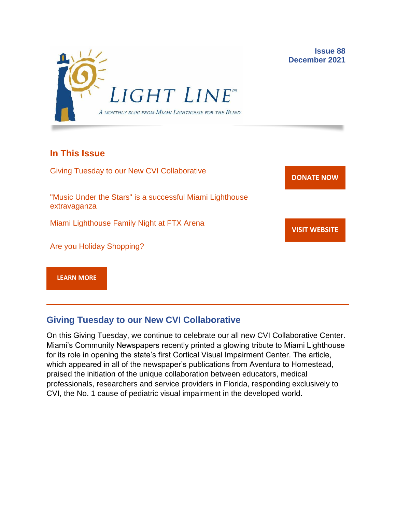

## **In This Issue**

Giving Tuesday to our New CVI Collaborative "Music Under the Stars" is a successful Miami Lighthouse extravaganza Miami Lighthouse Family Night at FTX Arena Are you Holiday Shopping? **[DONATE](http://r20.rs6.net/tn.jsp?f=001gO2GdS4FPEo240mg91k3c6HYN6ozMk69i8vrHipkUVt0nirc6iRjFsnZMWQfGpPyX5jA608dzGsffulXhDWN87JpF0RNMOsrEiEcR9KIVEjaVePiHS9eny3wE9Zh3DibFuDj7zvtMQCXwVbtALXi3_cnEJaT8XURz8jTt9N4yGe0rF3VoM8Y5mGhwRavYQ9CBe_fM4GbcQM=&c=A5xWHdmKDISdqoVssYAkMfhtdAlzuVskAHp3ASewWzRv5OnB7XubeA==&ch=KFi9wV6k5Z13Ef8Qia4fM-L584mfsNs0RWKjkNv-Bombmn4mZKg5Lw==) NOW VISIT [WEBSITE](http://r20.rs6.net/tn.jsp?f=001gO2GdS4FPEo240mg91k3c6HYN6ozMk69i8vrHipkUVt0nirc6iRjFp5OLUPp5xz8iJ7cM7NxB4ho-pmJZegg-UUCCff2BfEg0hVFNWmithw5L76cpbdpMlw1ZgIRlQC6OwIp0zOZvc1jcAvQYtup6ODb3HvWFX4_CFaBZinytweEHJSIK44w1g==&c=A5xWHdmKDISdqoVssYAkMfhtdAlzuVskAHp3ASewWzRv5OnB7XubeA==&ch=KFi9wV6k5Z13Ef8Qia4fM-L584mfsNs0RWKjkNv-Bombmn4mZKg5Lw==) [LEARN MORE](http://www.miamilighthouse.org)**

# **Giving Tuesday to our New CVI Collaborative**

On this Giving Tuesday, we continue to celebrate our all new CVI Collaborative Center. Miami's Community Newspapers recently printed a glowing tribute to Miami Lighthouse for its role in opening the state's first Cortical Visual Impairment Center. The article, which appeared in all of the newspaper's publications from Aventura to Homestead, praised the initiation of the unique collaboration between educators, medical professionals, researchers and service providers in Florida, responding exclusively to CVI, the No. 1 cause of pediatric visual impairment in the developed world.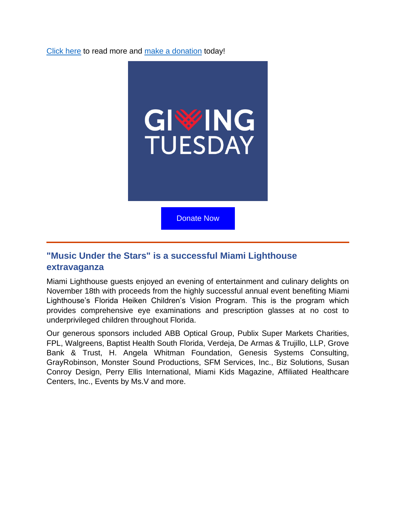[Click here](https://communitynewspapers.com/biscayne-bay/miami-lighthouse-for-the-blind-opens-states-first-cvi-center/) to read more and [make a donation](https://secure.miamilighthouse.org/Donations.asp) today!



## **"Music Under the Stars" is a successful Miami Lighthouse extravaganza**

Miami Lighthouse guests enjoyed an evening of entertainment and culinary delights on November 18th with proceeds from the highly successful annual event benefiting Miami Lighthouse's Florida Heiken Children's Vision Program. This is the program which provides comprehensive eye examinations and prescription glasses at no cost to underprivileged children throughout Florida.

Our generous sponsors included ABB Optical Group, Publix Super Markets Charities, FPL, Walgreens, Baptist Health South Florida, Verdeja, De Armas & Trujillo, LLP, Grove Bank & Trust, H. Angela Whitman Foundation, Genesis Systems Consulting, GrayRobinson, Monster Sound Productions, SFM Services, Inc., Biz Solutions, Susan Conroy Design, Perry Ellis International, Miami Kids Magazine, Affiliated Healthcare Centers, Inc., Events by Ms.V and more.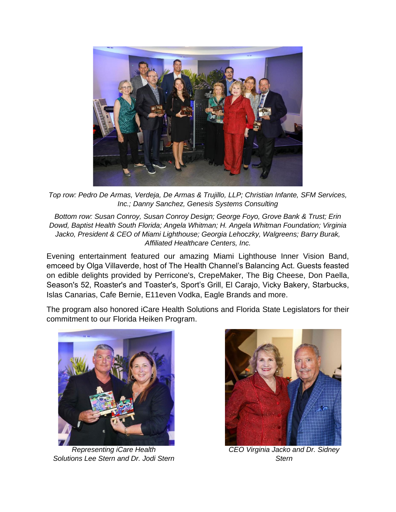

*Top row: Pedro De Armas, Verdeja, De Armas & Trujillo, LLP; Christian Infante, SFM Services, Inc.; Danny Sanchez, Genesis Systems Consulting*

*Bottom row: Susan Conroy, Susan Conroy Design; George Foyo, Grove Bank & Trust; Erin Dowd, Baptist Health South Florida; Angela Whitman; H. Angela Whitman Foundation; Virginia Jacko, President & CEO of Miami Lighthouse; Georgia Lehoczky, Walgreens; Barry Burak, Affiliated Healthcare Centers, Inc.*

Evening entertainment featured our amazing Miami Lighthouse Inner Vision Band, emceed by Olga Villaverde, host of The Health Channel's Balancing Act. Guests feasted on edible delights provided by Perricone's, CrepeMaker, The Big Cheese, Don Paella, Season's 52, Roaster's and Toaster's, Sport's Grill, El Carajo, Vicky Bakery, Starbucks, Islas Canarias, Cafe Bernie, E11even Vodka, Eagle Brands and more.

The program also honored iCare Health Solutions and Florida State Legislators for their commitment to our Florida Heiken Program.



*Representing iCare Health Solutions Lee Stern and Dr. Jodi Stern*



*CEO Virginia Jacko and Dr. Sidney Stern*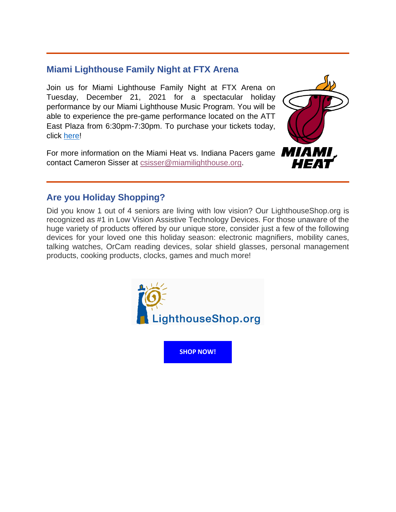## **Miami Lighthouse Family Night at FTX Arena**

Join us for Miami Lighthouse Family Night at FTX Arena on Tuesday, December 21, 2021 for a spectacular holiday performance by our Miami Lighthouse Music Program. You will be able to experience the pre-game performance located on the ATT East Plaza from 6:30pm-7:30pm. To purchase your tickets today, click [here!](https://offer.fevo.com/heat-vs-indiana-pacers-mmykvj6-d462455?fevoUri=heat-vs-indiana-pacers-mmykvj6-d462455%2F)

For more information on the Miami Heat vs. Indiana Pacers game **MIAMI** contact Cameron Sisser at [csisser@miamilighthouse.org.](mailto:csisser@miamilighthouse.org)



## **Are you Holiday Shopping?**

Did you know 1 out of 4 seniors are living with low vision? Our LighthouseShop.org is recognized as #1 in Low Vision Assistive Technology Devices. For those unaware of the huge variety of products offered by our unique store, consider just a few of the following devices for your loved one this holiday season: electronic magnifiers, mobility canes, talking watches, OrCam reading devices, solar shield glasses, personal management products, cooking products, clocks, games and much more!



**[SHOP NOW!](https://lighthouseshop.org/)**